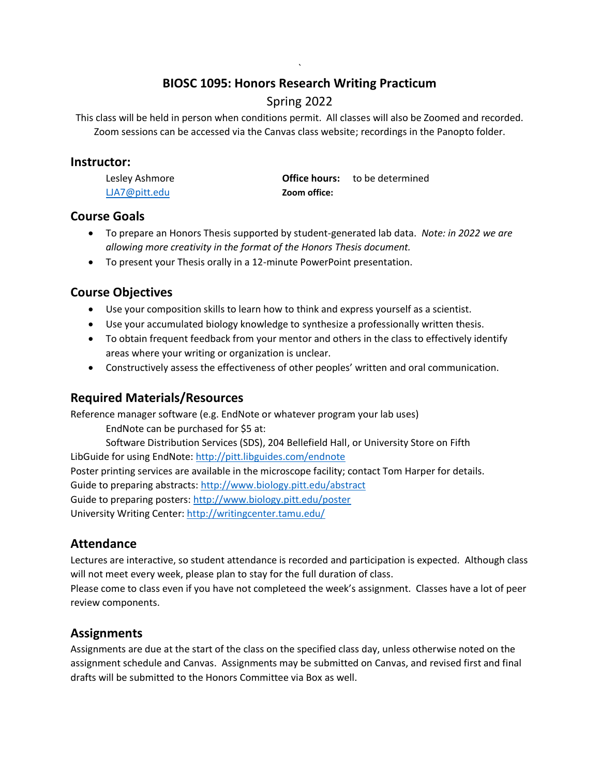#### ` **BIOSC 1095: Honors Research Writing Practicum**

# Spring 2022

This class will be held in person when conditions permit. All classes will also be Zoomed and recorded. Zoom sessions can be accessed via the Canvas class website; recordings in the Panopto folder.

#### **Instructor:**

| Lesley Ashmore |              | <b>Office hours:</b> to be determined |
|----------------|--------------|---------------------------------------|
| LJA7@pitt.edu  | Zoom office: |                                       |

#### **Course Goals**

- To prepare an Honors Thesis supported by student-generated lab data. *Note: in 2022 we are allowing more creativity in the format of the Honors Thesis document.*
- To present your Thesis orally in a 12-minute PowerPoint presentation.

## **Course Objectives**

- Use your composition skills to learn how to think and express yourself as a scientist.
- Use your accumulated biology knowledge to synthesize a professionally written thesis.
- To obtain frequent feedback from your mentor and others in the class to effectively identify areas where your writing or organization is unclear.
- Constructively assess the effectiveness of other peoples' written and oral communication.

## **Required Materials/Resources**

Reference manager software (e.g. EndNote or whatever program your lab uses)

EndNote can be purchased for \$5 at:

Software Distribution Services (SDS), 204 Bellefield Hall, or University Store on Fifth LibGuide for using EndNote:<http://pitt.libguides.com/endnote> Poster printing services are available in the microscope facility; contact Tom Harper for details.

Guide to preparing abstracts:<http://www.biology.pitt.edu/abstract>

Guide to preparing posters:<http://www.biology.pitt.edu/poster>

University Writing Center:<http://writingcenter.tamu.edu/>

# **Attendance**

Lectures are interactive, so student attendance is recorded and participation is expected. Although class will not meet every week, please plan to stay for the full duration of class.

Please come to class even if you have not completeed the week's assignment. Classes have a lot of peer review components.

# **Assignments**

Assignments are due at the start of the class on the specified class day, unless otherwise noted on the assignment schedule and Canvas. Assignments may be submitted on Canvas, and revised first and final drafts will be submitted to the Honors Committee via Box as well.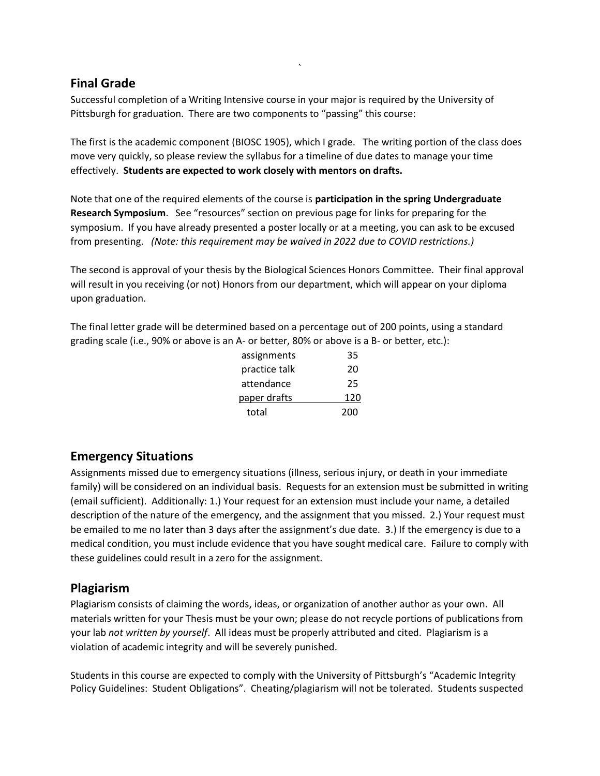#### **Final Grade**

Successful completion of a Writing Intensive course in your major is required by the University of Pittsburgh for graduation. There are two components to "passing" this course:

The first is the academic component (BIOSC 1905), which I grade. The writing portion of the class does move very quickly, so please review the syllabus for a timeline of due dates to manage your time effectively. **Students are expected to work closely with mentors on drafts.** 

`

Note that one of the required elements of the course is **participation in the spring Undergraduate Research Symposium**. See "resources" section on previous page for links for preparing for the symposium. If you have already presented a poster locally or at a meeting, you can ask to be excused from presenting. *(Note: this requirement may be waived in 2022 due to COVID restrictions.)*

The second is approval of your thesis by the Biological Sciences Honors Committee. Their final approval will result in you receiving (or not) Honors from our department, which will appear on your diploma upon graduation.

The final letter grade will be determined based on a percentage out of 200 points, using a standard grading scale (i.e., 90% or above is an A- or better, 80% or above is a B- or better, etc.):

| assignments   | 35  |
|---------------|-----|
| practice talk | 20  |
| attendance    | 25  |
| paper drafts  | 120 |
| total         | 200 |

## **Emergency Situations**

Assignments missed due to emergency situations (illness, serious injury, or death in your immediate family) will be considered on an individual basis. Requests for an extension must be submitted in writing (email sufficient). Additionally: 1.) Your request for an extension must include your name, a detailed description of the nature of the emergency, and the assignment that you missed. 2.) Your request must be emailed to me no later than 3 days after the assignment's due date. 3.) If the emergency is due to a medical condition, you must include evidence that you have sought medical care. Failure to comply with these guidelines could result in a zero for the assignment.

#### **Plagiarism**

Plagiarism consists of claiming the words, ideas, or organization of another author as your own. All materials written for your Thesis must be your own; please do not recycle portions of publications from your lab *not written by yourself*. All ideas must be properly attributed and cited. Plagiarism is a violation of academic integrity and will be severely punished.

Students in this course are expected to comply with the University of Pittsburgh's "Academic Integrity Policy Guidelines: Student Obligations". Cheating/plagiarism will not be tolerated. Students suspected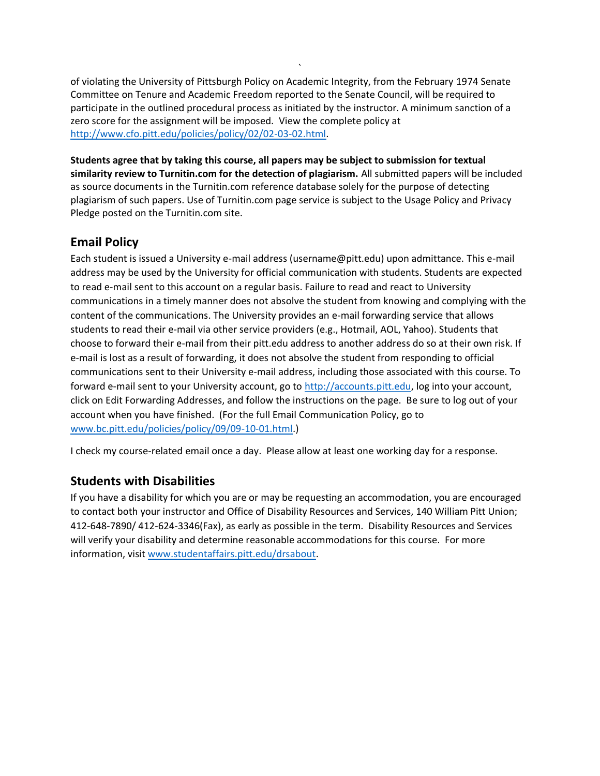of violating the University of Pittsburgh Policy on Academic Integrity, from the February 1974 Senate Committee on Tenure and Academic Freedom reported to the Senate Council, will be required to participate in the outlined procedural process as initiated by the instructor. A minimum sanction of a zero score for the assignment will be imposed. View the complete policy at [http://www.cfo.pitt.edu/policies/policy/02/02-03-02.html.](http://www.cfo.pitt.edu/policies/policy/02/02-03-02.html)

`

**Students agree that by taking this course, all papers may be subject to submission for textual similarity review to Turnitin.com for the detection of plagiarism.** All submitted papers will be included as source documents in the Turnitin.com reference database solely for the purpose of detecting plagiarism of such papers. Use of Turnitin.com page service is subject to the Usage Policy and Privacy Pledge posted on the Turnitin.com site.

# **Email Policy**

Each student is issued a University e-mail address (username@pitt.edu) upon admittance. This e-mail address may be used by the University for official communication with students. Students are expected to read e-mail sent to this account on a regular basis. Failure to read and react to University communications in a timely manner does not absolve the student from knowing and complying with the content of the communications. The University provides an e-mail forwarding service that allows students to read their e-mail via other service providers (e.g., Hotmail, AOL, Yahoo). Students that choose to forward their e-mail from their pitt.edu address to another address do so at their own risk. If e-mail is lost as a result of forwarding, it does not absolve the student from responding to official communications sent to their University e-mail address, including those associated with this course. To forward e-mail sent to your University account, go to [http://accounts.pitt.edu,](http://accounts.pitt.edu/) log into your account, click on Edit Forwarding Addresses, and follow the instructions on the page. Be sure to log out of your account when you have finished. (For the full Email Communication Policy, go to www.bc.pitt.edu/policies/policy/09/09-10-01.html.)

I check my course-related email once a day. Please allow at least one working day for a response.

## **Students with Disabilities**

If you have a disability for which you are or may be requesting an accommodation, you are encouraged to contact both your instructor and Office of Disability Resources and Services, 140 William Pitt Union; 412-648-7890/ 412-624-3346(Fax), as early as possible in the term. Disability Resources and Services will verify your disability and determine reasonable accommodations for this course. For more information, visit www.studentaffairs.pitt.edu/drsabout.